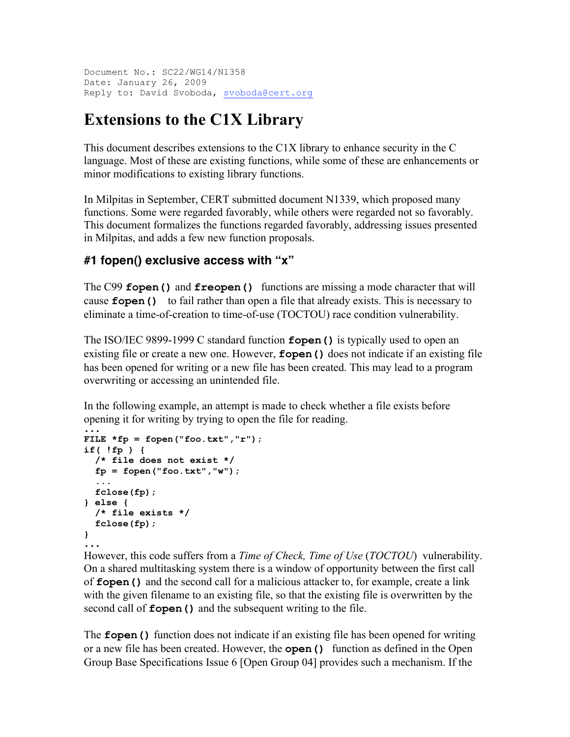Document No.: SC22/WG14/N1358 Date: January 26, 2009 Reply to: David Svoboda, svoboda@cert.org

# **Extensions to the C1X Library**

This document describes extensions to the C1X library to enhance security in the C language. Most of these are existing functions, while some of these are enhancements or minor modifications to existing library functions.

In Milpitas in September, CERT submitted document N1339, which proposed many functions. Some were regarded favorably, while others were regarded not so favorably. This document formalizes the functions regarded favorably, addressing issues presented in Milpitas, and adds a few new function proposals.

### **#1 fopen() exclusive access with "x"**

The C99 **fopen()** and **freopen()** functions are missing a mode character that will cause **fopen()** to fail rather than open a file that already exists. This is necessary to eliminate a time-of-creation to time-of-use (TOCTOU) race condition vulnerability.

The ISO/IEC 9899-1999 C standard function **fopen()** is typically used to open an existing file or create a new one. However, **fopen()** does not indicate if an existing file has been opened for writing or a new file has been created. This may lead to a program overwriting or accessing an unintended file.

In the following example, an attempt is made to check whether a file exists before opening it for writing by trying to open the file for reading.

```
...
FILE *fp = fopen("foo.txt","r");
if( !fp ) {
   /* file does not exist */
  fp = fopen("foo.txt","w");
   ...
  fclose(fp);
} else {
   /* file exists */
   fclose(fp);
}
...
```
However, this code suffers from a *Time of Check, Time of Use* (*TOCTOU*) vulnerability. On a shared multitasking system there is a window of opportunity between the first call of **fopen()** and the second call for a malicious attacker to, for example, create a link with the given filename to an existing file, so that the existing file is overwritten by the second call of **fopen()** and the subsequent writing to the file.

The **fopen()** function does not indicate if an existing file has been opened for writing or a new file has been created. However, the **open()** function as defined in the Open Group Base Specifications Issue 6 [Open Group 04] provides such a mechanism. If the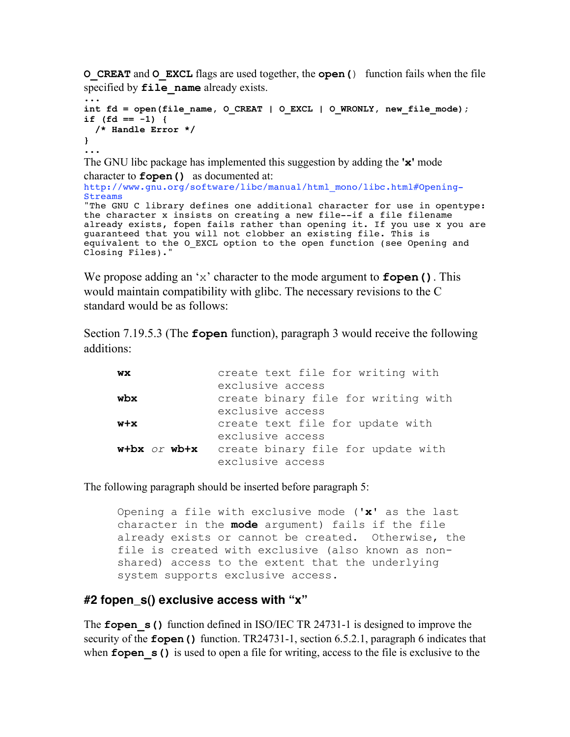**O\_CREAT** and **O\_EXCL** flags are used together, the **open(**) function fails when the file specified by **file** name already exists.

```
...
int fd = open(file name, O CREAT | O EXCL | O WRONLY, new file mode);
if (fd == -1) {
  /* Handle Error */
}
...
```
The GNU libc package has implemented this suggestion by adding the **'x'** mode character to **fopen()** as documented at:

```
http://www.gnu.org/software/libc/manual/html_mono/libc.html#Opening-
Streams
"The GNU C library defines one additional character for use in opentype: 
the character x insists on creating a new file--if a file filename 
already exists, fopen fails rather than opening it. If you use x you are 
guaranteed that you will not clobber an existing file. This is 
equivalent to the O EXCL option to the open function (see Opening and
Closing Files)."
```
We propose adding an 'x' character to the mode argument to **fopen()**. This would maintain compatibility with glibc. The necessary revisions to the C standard would be as follows:

Section 7.19.5.3 (The **fopen** function), paragraph 3 would receive the following additions:

| WX               | create text file for writing with                                           |
|------------------|-----------------------------------------------------------------------------|
| wbx              | exclusive access<br>create binary file for writing with<br>exclusive access |
| $w+ x$           | create text file for update with                                            |
| $w+bx$ or $wb+x$ | exclusive access<br>create binary file for update with<br>exclusive access  |

The following paragraph should be inserted before paragraph 5:

Opening a file with exclusive mode (**'x'** as the last character in the **mode** argument) fails if the file already exists or cannot be created. Otherwise, the file is created with exclusive (also known as nonshared) access to the extent that the underlying system supports exclusive access.

### **#2 fopen\_s() exclusive access with "x"**

The **fopen** s() function defined in ISO/IEC TR 24731-1 is designed to improve the security of the **fopen()** function. TR24731-1, section 6.5.2.1, paragraph 6 indicates that when **fopen** s() is used to open a file for writing, access to the file is exclusive to the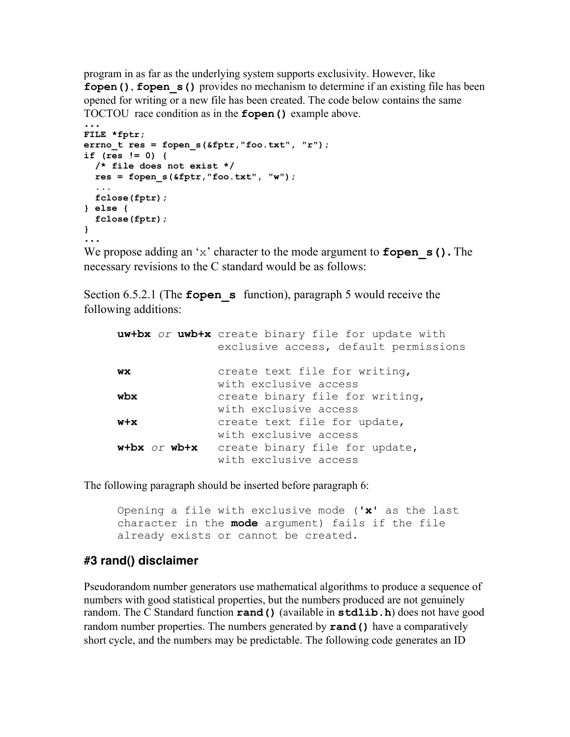program in as far as the underlying system supports exclusivity. However, like **fopen()**, **fopen** s() provides no mechanism to determine if an existing file has been opened for writing or a new file has been created. The code below contains the same TOCTOU race condition as in the **fopen()** example above.

```
...
FILE *fptr;
errno_t res = fopen_s(&fptr,"foo.txt", "r");
if (res != 0) {
   /* file does not exist */
  res = fopen_s(&fptr,"foo.txt", "w");
   ...
  fclose(fptr);
} else {
  fclose(fptr);
}
...
```
We propose adding an 'x' character to the mode argument to **fopen\_s().** The necessary revisions to the C standard would be as follows:

Section 6.5.2.1 (The **fopen** s function), paragraph 5 would receive the following additions:

|                   | uw+bx or uwb+x create binary file for update with<br>exclusive access, default permissions |
|-------------------|--------------------------------------------------------------------------------------------|
| WX                | create text file for writing,                                                              |
| wbx               | with exclusive access<br>create binary file for writing,<br>with exclusive access          |
| $w + x$           | create text file for update,<br>with exclusive access                                      |
| $w+bx$ or $wb+xa$ | create binary file for update,<br>with exclusive access                                    |

The following paragraph should be inserted before paragraph 6:

Opening a file with exclusive mode (**'x'** as the last character in the **mode** argument) fails if the file already exists or cannot be created.

### **#3 rand() disclaimer**

Pseudorandom number generators use mathematical algorithms to produce a sequence of numbers with good statistical properties, but the numbers produced are not genuinely random. The C Standard function **rand()** (available in **stdlib.h**) does not have good random number properties. The numbers generated by **rand()** have a comparatively short cycle, and the numbers may be predictable. The following code generates an ID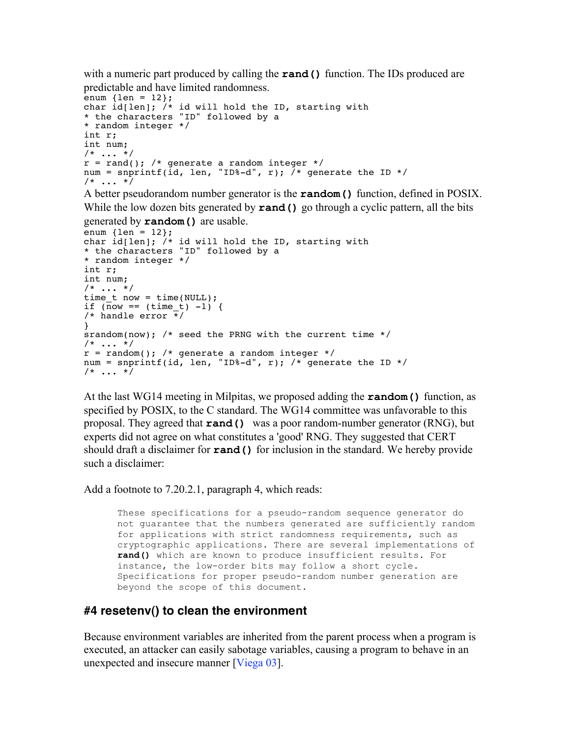with a numeric part produced by calling the **rand()** function. The IDs produced are predictable and have limited randomness.

```
enum \{len = 12\};
char id[len]; /* id will hold the ID, starting with
* the characters "ID" followed by a
* random integer */
int r;
int num;
/* \ldots */r = rand(); /* generate a random integer */
num = snprintf(id, len, "ID%-d", r); /* generate the ID */
/* ... */
```
A better pseudorandom number generator is the **random()** function, defined in POSIX. While the low dozen bits generated by **rand()** go through a cyclic pattern, all the bits

generated by **random()** are usable.

```
enum \{len = 12\};char id[len]; /* id will hold the ID, starting with
* the characters "ID" followed by a
* random integer */
int r;
int num;
/* \dots */time t now = time(NULL);
if (now == (time t) -1) {
/* handle error */
}
srandom(now); /* seed the PRNG with the current time */
/* \ldots */r = \text{random}(); /* generate a random integer */
num = snprintf(id, len, "ID%-d", r); /* generate the ID */
/* \ldots */
```
At the last WG14 meeting in Milpitas, we proposed adding the **random()** function, as specified by POSIX, to the C standard. The WG14 committee was unfavorable to this proposal. They agreed that **rand()** was a poor random-number generator (RNG), but experts did not agree on what constitutes a 'good' RNG. They suggested that CERT should draft a disclaimer for **rand()** for inclusion in the standard. We hereby provide such a disclaimer:

Add a footnote to 7.20.2.1, paragraph 4, which reads:

These specifications for a pseudo-random sequence generator do not guarantee that the numbers generated are sufficiently random for applications with strict randomness requirements, such as cryptographic applications. There are several implementations of **rand()** which are known to produce insufficient results. For instance, the low-order bits may follow a short cycle. Specifications for proper pseudo-random number generation are beyond the scope of this document.

#### **#4 resetenv() to clean the environment**

Because environment variables are inherited from the parent process when a program is executed, an attacker can easily sabotage variables, causing a program to behave in an unexpected and insecure manner [Viega 03].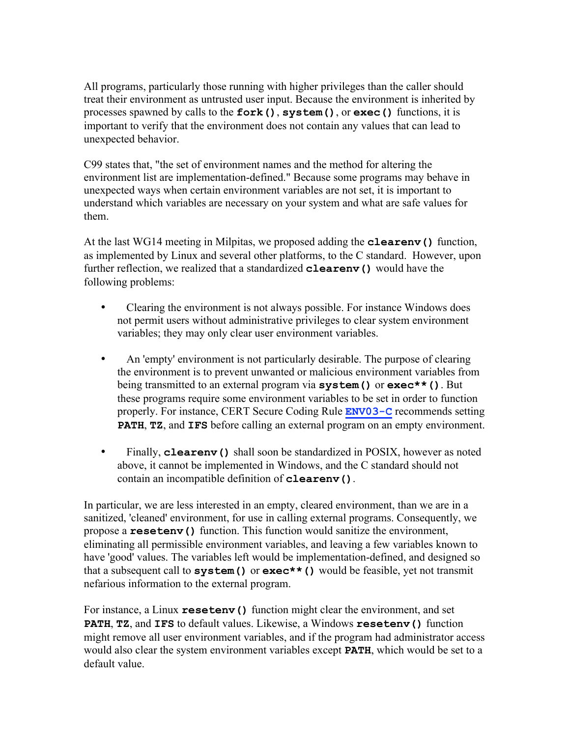All programs, particularly those running with higher privileges than the caller should treat their environment as untrusted user input. Because the environment is inherited by processes spawned by calls to the **fork()**, **system()**, or **exec()** functions, it is important to verify that the environment does not contain any values that can lead to unexpected behavior.

C99 states that, "the set of environment names and the method for altering the environment list are implementation-defined." Because some programs may behave in unexpected ways when certain environment variables are not set, it is important to understand which variables are necessary on your system and what are safe values for them.

At the last WG14 meeting in Milpitas, we proposed adding the **clearenv()** function, as implemented by Linux and several other platforms, to the C standard. However, upon further reflection, we realized that a standardized **clearenv()** would have the following problems:

- Clearing the environment is not always possible. For instance Windows does not permit users without administrative privileges to clear system environment variables; they may only clear user environment variables.
- An 'empty' environment is not particularly desirable. The purpose of clearing the environment is to prevent unwanted or malicious environment variables from being transmitted to an external program via **system()** or **exec\*\*()**. But these programs require some environment variables to be set in order to function properly. For instance, CERT Secure Coding Rule **ENV03-C** recommends setting **PATH**, **TZ**, and **IFS** before calling an external program on an empty environment.
- Finally, **cleareny** () shall soon be standardized in POSIX, however as noted above, it cannot be implemented in Windows, and the C standard should not contain an incompatible definition of **clearenv()**.

In particular, we are less interested in an empty, cleared environment, than we are in a sanitized, 'cleaned' environment, for use in calling external programs. Consequently, we propose a **resetenv()** function. This function would sanitize the environment, eliminating all permissible environment variables, and leaving a few variables known to have 'good' values. The variables left would be implementation-defined, and designed so that a subsequent call to **system()** or **exec\*\*()** would be feasible, yet not transmit nefarious information to the external program.

For instance, a Linux **resetenv()** function might clear the environment, and set **PATH**, **TZ**, and **IFS** to default values. Likewise, a Windows **resetenv()** function might remove all user environment variables, and if the program had administrator access would also clear the system environment variables except **PATH**, which would be set to a default value.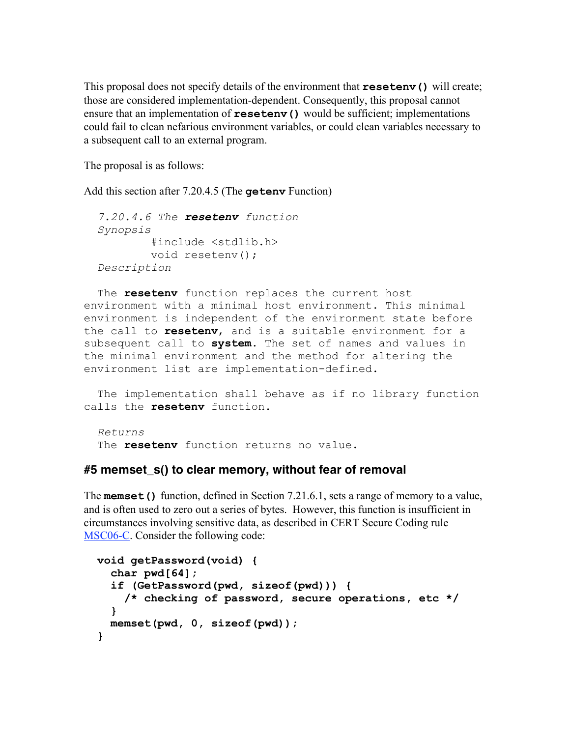This proposal does not specify details of the environment that **resetenv()** will create; those are considered implementation-dependent. Consequently, this proposal cannot ensure that an implementation of  $\text{resetenv}$  () would be sufficient; implementations could fail to clean nefarious environment variables, or could clean variables necessary to a subsequent call to an external program.

The proposal is as follows:

Add this section after 7.20.4.5 (The **getenv** Function)

```
 7.20.4.6 The resetenv function
 Synopsis
         #include <stdlib.h>
         void resetenv();
 Description
```
 The **resetenv** function replaces the current host environment with a minimal host environment. This minimal environment is independent of the environment state before the call to **resetenv**, and is a suitable environment for a subsequent call to **system**. The set of names and values in the minimal environment and the method for altering the environment list are implementation-defined.

 The implementation shall behave as if no library function calls the **resetenv** function.

 *Returns* The **resetenv** function returns no value.

#### **#5 memset\_s() to clear memory, without fear of removal**

The **memset()** function, defined in Section 7.21.6.1, sets a range of memory to a value, and is often used to zero out a series of bytes. However, this function is insufficient in circumstances involving sensitive data, as described in CERT Secure Coding rule MSC06-C. Consider the following code:

```
 void getPassword(void) {
   char pwd[64];
   if (GetPassword(pwd, sizeof(pwd))) {
     /* checking of password, secure operations, etc */
   }
   memset(pwd, 0, sizeof(pwd));
 }
```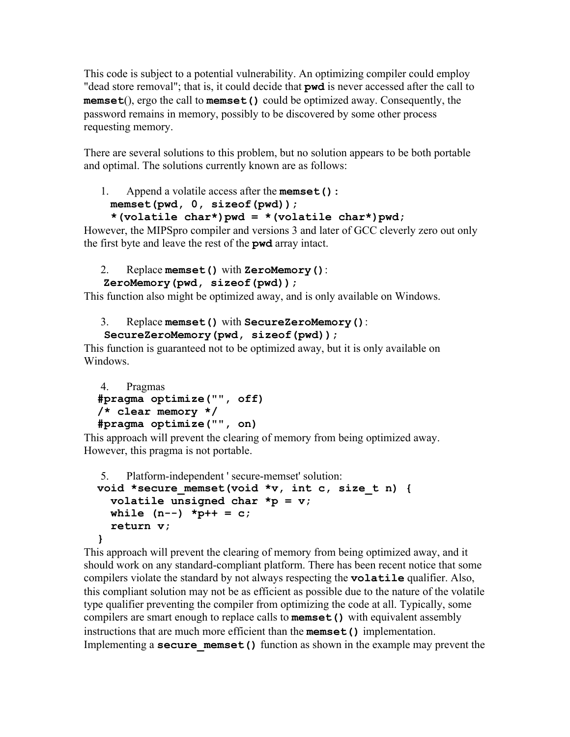This code is subject to a potential vulnerability. An optimizing compiler could employ "dead store removal"; that is, it could decide that **pwd** is never accessed after the call to **memset**(), ergo the call to **memset()** could be optimized away. Consequently, the password remains in memory, possibly to be discovered by some other process requesting memory.

There are several solutions to this problem, but no solution appears to be both portable and optimal. The solutions currently known are as follows:

```
1. Append a volatile access after the memset():
  memset(pwd, 0, sizeof(pwd));
```

```
 *(volatile char*)pwd = *(volatile char*)pwd;
```
However, the MIPSpro compiler and versions 3 and later of GCC cleverly zero out only the first byte and leave the rest of the **pwd** array intact.

## 2. Replace **memset()** with **ZeroMemory()**:

```
 ZeroMemory(pwd, sizeof(pwd));
```
This function also might be optimized away, and is only available on Windows.

```
3. Replace memset() with SecureZeroMemory():
```

```
 SecureZeroMemory(pwd, sizeof(pwd));
```
This function is guaranteed not to be optimized away, but it is only available on **Windows** 

```
4. Pragmas
 #pragma optimize("", off)
 /* clear memory */
 #pragma optimize("", on)
```
This approach will prevent the clearing of memory from being optimized away. However, this pragma is not portable.

```
5. Platform-independent ' secure-memset' solution:
 void *secure_memset(void *v, int c, size_t n) {
   volatile unsigned char *p = v;
  while (n--) *p++ = c; return v;
 }
```

```
This approach will prevent the clearing of memory from being optimized away, and it 
should work on any standard-compliant platform. There has been recent notice that some 
compilers violate the standard by not always respecting the volatile qualifier. Also, 
this compliant solution may not be as efficient as possible due to the nature of the volatile 
type qualifier preventing the compiler from optimizing the code at all. Typically, some 
compilers are smart enough to replace calls to memset() with equivalent assembly 
instructions that are much more efficient than the memset() implementation. 
Implementing a secure memset() function as shown in the example may prevent the
```